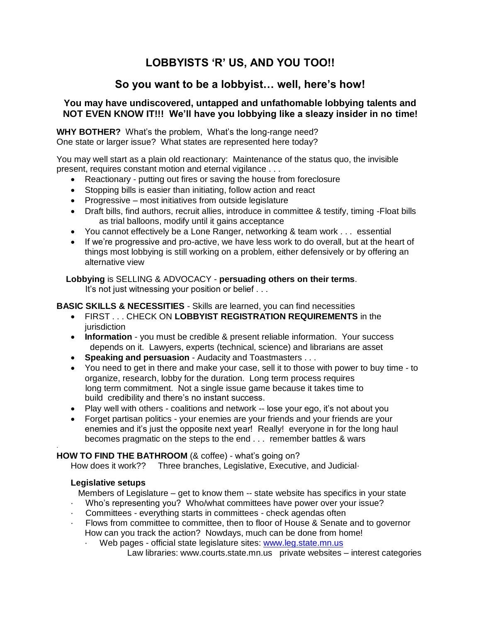# **LOBBYISTS 'R' US, AND YOU TOO!!**

# **So you want to be a lobbyist… well, here's how!**

# **You may have undiscovered, untapped and unfathomable lobbying talents and NOT EVEN KNOW IT!!! We'll have you lobbying like a sleazy insider in no time!**

**WHY BOTHER?** What's the problem, What's the long-range need? One state or larger issue? What states are represented here today?

You may well start as a plain old reactionary: Maintenance of the status quo, the invisible present, requires constant motion and eternal vigilance . . .

- Reactionary putting out fires or saving the house from foreclosure
- Stopping bills is easier than initiating, follow action and react
- Progressive most initiatives from outside legislature
- Draft bills, find authors, recruit allies, introduce in committee & testify, timing -Float bills as trial balloons, modify until it gains acceptance
- You cannot effectively be a Lone Ranger, networking & team work . . . essential
- If we're progressive and pro-active, we have less work to do overall, but at the heart of things most lobbying is still working on a problem, either defensively or by offering an alternative view

 **Lobbying** is SELLING & ADVOCACY - **persuading others on their terms**. It's not just witnessing your position or belief . . .

# **BASIC SKILLS & NECESSITIES** - Skills are learned, you can find necessities

- FIRST . . . CHECK ON **LOBBYIST REGISTRATION REQUIREMENTS** in the iurisdiction
- **Information** you must be credible & present reliable information. Your success depends on it. Lawyers, experts (technical, science) and librarians are asset
- **Speaking and persuasion** Audacity and Toastmasters . . .
- You need to get in there and make your case, sell it to those with power to buy time to organize, research, lobby for the duration. Long term process requires long term commitment. Not a single issue game because it takes time to build credibility and there's no instant success.
- Play well with others coalitions and network -- lose your ego, it's not about you
- Forget partisan politics your enemies are your friends and your friends are your enemies and it's just the opposite next year! Really! everyone in for the long haul becomes pragmatic on the steps to the end . . . remember battles & wars

#### · **HOW TO FIND THE BATHROOM** (& coffee) - what's going on?

How does it work?? Three branches, Legislative, Executive, and Judicial-

## **Legislative setups**

Members of Legislature – get to know them -- state website has specifics in your state

- · Who's representing you? Who/what committees have power over your issue?
- · Committees everything starts in committees check agendas often
- Flows from committee to committee, then to floor of House & Senate and to governor How can you track the action? Nowdays, much can be done from home!
	- Web pages official state legislature sites: [www.leg.state.mn.us](http://www.leg.state.mn.us/) Law libraries: www.courts.state.mn.us private websites – interest categories